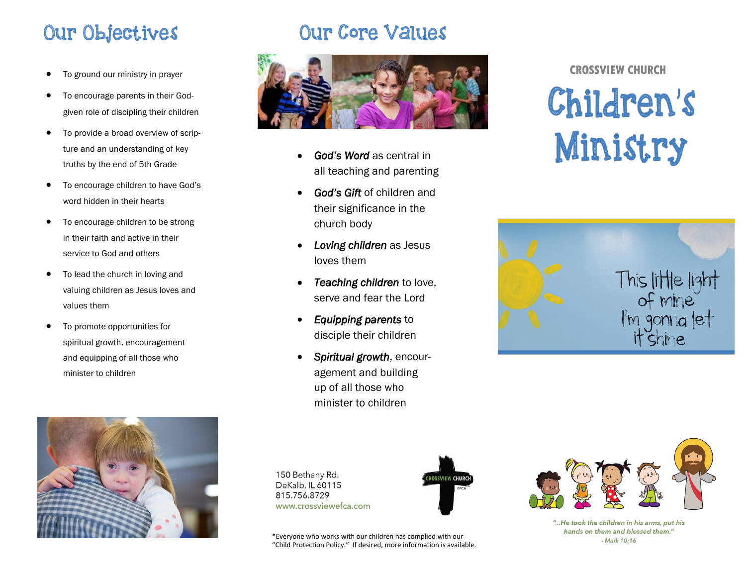# Our Objectives

- To ground our ministry in prayer
- To encourage parents in their Godgiven role of discipling their children
- To provide a broad overview of scripture and an understanding of key truths by the end of 5th Grade
- To encourage children to have God's word hidden in their hearts
- To encourage children to be strong in their faith and active in their service to God and others
- To lead the church in loving and valuing children as Jesus loves and values them
- To promote opportunities for spiritual growth, encouragement and equipping of all those who minister to children



# **Our Core Values**



- *God's Word* as central in all teaching and parenting
- *God's Gift* of children and their significance in the church body
- *Loving children* as Jesus loves them
- *Teaching children* to love, serve and fear the Lord
- *Equipping parents* to disciple their children
- *Spiritual growth*, encouragement and building up of all those who minister to children

150 Bethany Rd.

DeKalb, IL 60115

www.crossviewefca.com

815.756.8729

**ROSSVIEW CHURCH** 

EFCA

\*Everyone who works with our children has complied with our "Child Protection Policy." If desired, more information is available.

# **CROSSVIEW CHURCH**

**Children's** Ministry





<sup>&</sup>quot;...He took the children in his arms, put his hands on them and blessed them." - Mark 10:16